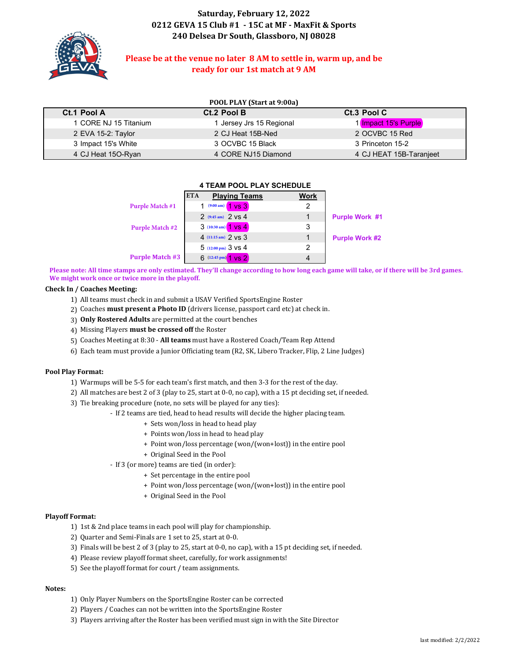# **Saturday, February 12, 2022 0212 GEVA 15 Club #1 - 15C at MF ‐ MaxFit & Sports 240 Delsea Dr South, Glassboro, NJ 08028**



### **Please be at the venue no later 8 AM to settle in, warm up, and be ready for our 1st match at 9 AM**

| POOL PLAY (Start at 9:00a) |                          |                         |  |  |  |  |  |  |
|----------------------------|--------------------------|-------------------------|--|--|--|--|--|--|
| Ct.1 Pool A                | Ct.2 Pool B              | Ct.3 Pool C             |  |  |  |  |  |  |
| 1 CORE NJ 15 Titanium      | 1 Jersey Jrs 15 Regional | 1 Impact 15's Purple    |  |  |  |  |  |  |
| 2 EVA 15-2: Taylor         | 2 CJ Heat 15B-Ned        | 2 OCVBC 15 Red          |  |  |  |  |  |  |
| 3 Impact 15's White        | 3 OCVBC 15 Black         | 3 Princeton 15-2        |  |  |  |  |  |  |
| 4 CJ Heat 15O-Ryan         | 4 CORE NJ15 Diamond      | 4 CJ HEAT 15B-Taranjeet |  |  |  |  |  |  |

|                        |            | 4 I EAM PUUL PLAT SUNEDULE             |             |                       |
|------------------------|------------|----------------------------------------|-------------|-----------------------|
|                        | <b>ETA</b> | <b>Playing Teams</b>                   | <b>Work</b> |                       |
| <b>Purple Match #1</b> |            | $(9:00 \text{ am})$ 1 VS 3             |             |                       |
|                        |            | $2(9:45 \text{ am})$ $2 \text{ VS } 4$ |             | <b>Purple Work #1</b> |
| <b>Purple Match #2</b> |            | $3(10:30 \text{ am})$ 1 VS 4           | 3           |                       |
|                        |            | $4(11:15 \text{ am})$ 2 VS 3           |             | <b>Purple Work #2</b> |
|                        |            | $5(12:00 \text{ pm})$ 3 VS 4           | 2           |                       |
| <b>Purple Match #3</b> |            | 6 (12:45 pm) 1 VS 2                    |             |                       |

**4 TEAM POOL PLAY SCHEDULE**

**Please note: All time stamps are only estimated. They'll change according to how long each game will take, or if there will be 3rd games. We might work once or twice more in the playoff.**

### **Check In / Coaches Meeting:**

- 1) All teams must check in and submit a USAV Verified SportsEngine Roster
- 2) Coaches **must present a Photo ID** (drivers license, passport card etc) at check in.
- 3) **Only Rostered Adults** are permitted at the court benches
- 4) Missing Players **must be crossed off** the Roster
- 5) Coaches Meeting at 8:30 **All teams** must have a Rostered Coach/Team Rep Attend
- 6) Each team must provide a Junior Officiating team (R2, SK, Libero Tracker, Flip, 2 Line Judges)

### **Pool Play Format:**

- 1) Warmups will be 5-5 for each team's first match, and then 3-3 for the rest of the day.
- 2) All matches are best 2 of 3 (play to 25, start at 0-0, no cap), with a 15 pt deciding set, if needed.
- 3) Tie breaking procedure (note, no sets will be played for any ties):
	- If 2 teams are tied, head to head results will decide the higher placing team.
		- + Sets won/loss in head to head play
		- + Points won/loss in head to head play
		- + Point won/loss percentage (won/(won+lost)) in the entire pool
		- + Original Seed in the Pool
	- If 3 (or more) teams are tied (in order):
		- + Set percentage in the entire pool
		- + Point won/loss percentage (won/(won+lost)) in the entire pool
		- + Original Seed in the Pool

### **Playoff Format:**

- 1) 1st & 2nd place teams in each pool will play for championship.
- 2) Quarter and Semi-Finals are 1 set to 25, start at 0-0.
- 3) Finals will be best 2 of 3 (play to 25, start at 0-0, no cap), with a 15 pt deciding set, if needed.
- 4) Please review playoff format sheet, carefully, for work assignments!
- 5) See the playoff format for court / team assignments.

#### **Notes:**

- 1) Only Player Numbers on the SportsEngine Roster can be corrected
- 2) Players / Coaches can not be written into the SportsEngine Roster
- 3) Players arriving after the Roster has been verified must sign in with the Site Director